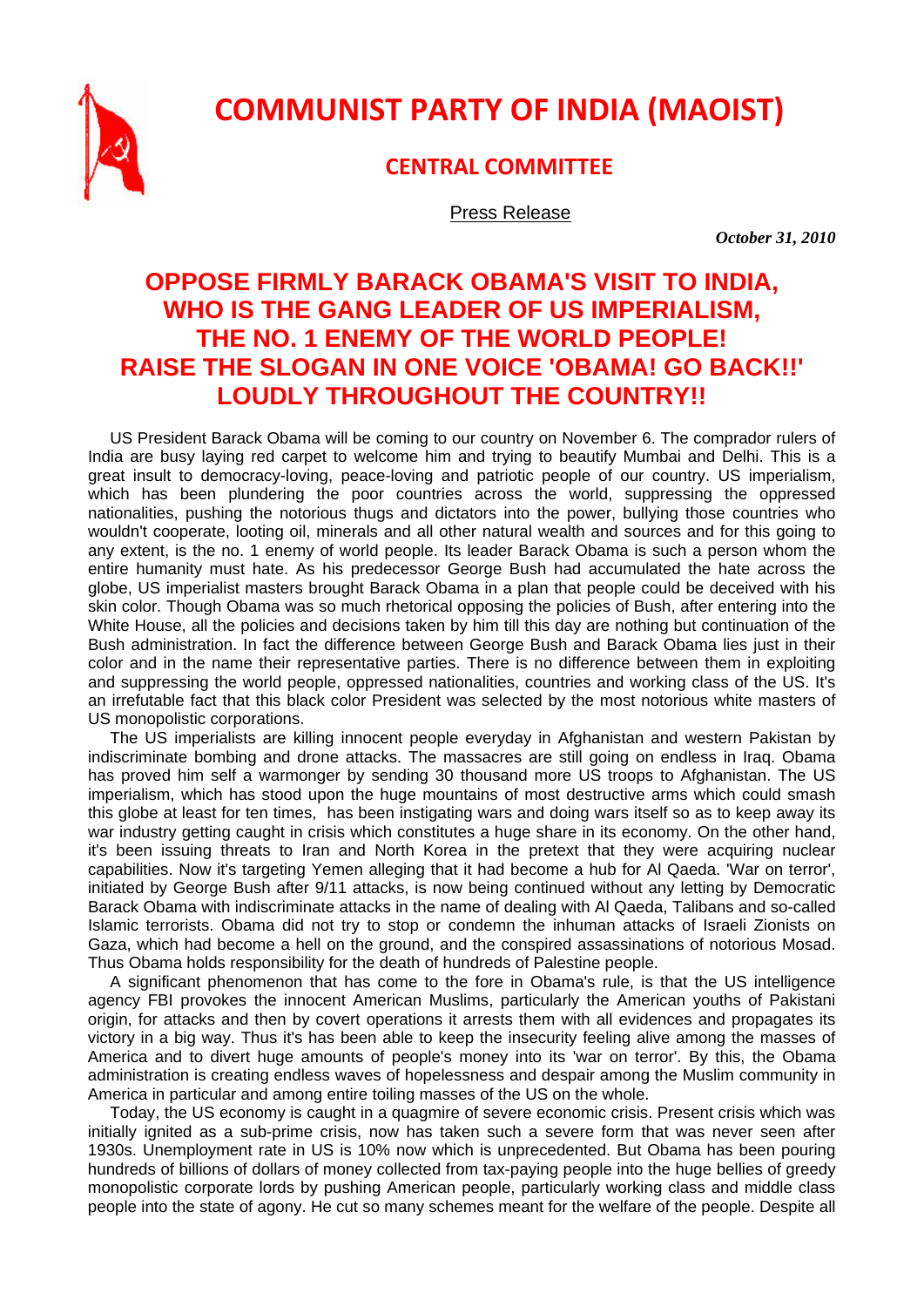

## **COMMUNIST PARTY OF INDIA (MAOIST)**

## **CENTRAL COMMITTEE**

Press Release

 *October 31, 2010* 

## **OPPOSE FIRMLY BARACK OBAMA'S VISIT TO INDIA, WHO IS THE GANG LEADER OF US IMPERIALISM, THE NO. 1 ENEMY OF THE WORLD PEOPLE! RAISE THE SLOGAN IN ONE VOICE 'OBAMA! GO BACK!!' LOUDLY THROUGHOUT THE COUNTRY!!**

US President Barack Obama will be coming to our country on November 6. The comprador rulers of India are busy laying red carpet to welcome him and trying to beautify Mumbai and Delhi. This is a great insult to democracy-loving, peace-loving and patriotic people of our country. US imperialism, which has been plundering the poor countries across the world, suppressing the oppressed nationalities, pushing the notorious thugs and dictators into the power, bullying those countries who wouldn't cooperate, looting oil, minerals and all other natural wealth and sources and for this going to any extent, is the no. 1 enemy of world people. Its leader Barack Obama is such a person whom the entire humanity must hate. As his predecessor George Bush had accumulated the hate across the globe, US imperialist masters brought Barack Obama in a plan that people could be deceived with his skin color. Though Obama was so much rhetorical opposing the policies of Bush, after entering into the White House, all the policies and decisions taken by him till this day are nothing but continuation of the Bush administration. In fact the difference between George Bush and Barack Obama lies just in their color and in the name their representative parties. There is no difference between them in exploiting and suppressing the world people, oppressed nationalities, countries and working class of the US. It's an irrefutable fact that this black color President was selected by the most notorious white masters of US monopolistic corporations.

The US imperialists are killing innocent people everyday in Afghanistan and western Pakistan by indiscriminate bombing and drone attacks. The massacres are still going on endless in Iraq. Obama has proved him self a warmonger by sending 30 thousand more US troops to Afghanistan. The US imperialism, which has stood upon the huge mountains of most destructive arms which could smash this globe at least for ten times, has been instigating wars and doing wars itself so as to keep away its war industry getting caught in crisis which constitutes a huge share in its economy. On the other hand, it's been issuing threats to Iran and North Korea in the pretext that they were acquiring nuclear capabilities. Now it's targeting Yemen alleging that it had become a hub for Al Qaeda. 'War on terror', initiated by George Bush after 9/11 attacks, is now being continued without any letting by Democratic Barack Obama with indiscriminate attacks in the name of dealing with Al Qaeda, Talibans and so-called Islamic terrorists. Obama did not try to stop or condemn the inhuman attacks of Israeli Zionists on Gaza, which had become a hell on the ground, and the conspired assassinations of notorious Mosad. Thus Obama holds responsibility for the death of hundreds of Palestine people.

A significant phenomenon that has come to the fore in Obama's rule, is that the US intelligence agency FBI provokes the innocent American Muslims, particularly the American youths of Pakistani origin, for attacks and then by covert operations it arrests them with all evidences and propagates its victory in a big way. Thus it's has been able to keep the insecurity feeling alive among the masses of America and to divert huge amounts of people's money into its 'war on terror'. By this, the Obama administration is creating endless waves of hopelessness and despair among the Muslim community in America in particular and among entire toiling masses of the US on the whole.

Today, the US economy is caught in a quagmire of severe economic crisis. Present crisis which was initially ignited as a sub-prime crisis, now has taken such a severe form that was never seen after 1930s. Unemployment rate in US is 10% now which is unprecedented. But Obama has been pouring hundreds of billions of dollars of money collected from tax-paying people into the huge bellies of greedy monopolistic corporate lords by pushing American people, particularly working class and middle class people into the state of agony. He cut so many schemes meant for the welfare of the people. Despite all